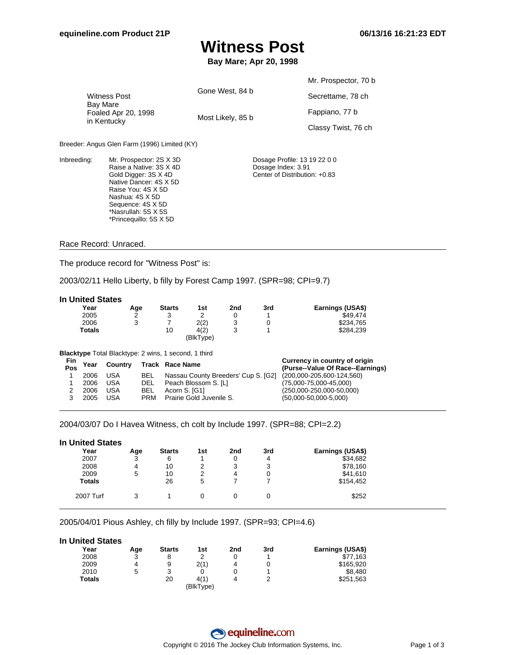# **Witness Post**

**Bay Mare; Apr 20, 1998**

|                                                                       |                   | Mr. Prospector, 70 b |
|-----------------------------------------------------------------------|-------------------|----------------------|
| <b>Witness Post</b><br>Bay Mare<br>Foaled Apr 20, 1998<br>in Kentucky | Gone West, 84 b   | Secrettame, 78 ch    |
|                                                                       | Most Likely, 85 b | Fappiano, 77 b       |
|                                                                       |                   | Classy Twist, 76 ch  |

Breeder: Angus Glen Farm (1996) Limited (KY)

Inbreeding: Mr. Prospector: 2S X 3D Raise a Native: 3S X 4D Gold Digger: 3S X 4D Native Dancer: 4S X 5D Raise You: 4S X 5D Nashua: 4S X 5D Sequence: 4S X 5D \*Nasrullah: 5S X 5S \*Princequillo: 5S X 5D

Dosage Profile: 13 19 22 0 0 Dosage Index: 3.91 Center of Distribution: +0.83

### Race Record: Unraced.

The produce record for "Witness Post" is:

2003/02/11 Hello Liberty, b filly by Forest Camp 1997. (SPR=98; CPI=9.7)

#### **In United States**

| Year   | Age | <b>Starts</b> | 1st       | 2nd | 3rd | Earnings (USA\$) |
|--------|-----|---------------|-----------|-----|-----|------------------|
| 2005   | ົ   |               |           |     |     | \$49.474         |
| 2006   | ີ   |               | 2(2)      | ື   |     | \$234.765        |
| Totals |     | 10            | 4(2)      |     |     | \$284.239        |
|        |     |               | (BlkType) |     |     |                  |

**Blacktype** Total Blacktype: 2 wins, 1 second, 1 third

| Fin<br>Pos | Year | Country |            | Track Race Name                                               | Currency in country of origin<br>(Purse--Value Of Race--Earnings) |
|------------|------|---------|------------|---------------------------------------------------------------|-------------------------------------------------------------------|
|            | 2006 | USA     | BEL        | Nassau County Breeders' Cup S. [G2] (200,000-205,600-124,560) |                                                                   |
|            | 2006 | USA     | DEL        | Peach Blossom S. ILI                                          | $(75,000 - 75,000 - 45,000)$                                      |
|            | 2006 | USA     | BEL        | Acorn S. [G1]                                                 | $(250,000-250,000-50,000)$                                        |
|            | 2005 | USA     | <b>PRM</b> | Prairie Gold Juvenile S.                                      | $(50,000-50,000-5,000)$                                           |

2004/03/07 Do I Havea Witness, ch colt by Include 1997. (SPR=88; CPI=2.2)

| <b>In United States</b> |     |               |     |     |     |                  |
|-------------------------|-----|---------------|-----|-----|-----|------------------|
| Year                    | Age | <b>Starts</b> | 1st | 2nd | 3rd | Earnings (USA\$) |
| 2007                    | 3   | 6             |     | 0   | 4   | \$34,682         |
| 2008                    | 4   | 10            | 2   | 3   | 3   | \$78,160         |
| 2009                    | 5   | 10            | 2   | 4   | 0   | \$41,610         |
| <b>Totals</b>           |     | 26            | 5   |     |     | \$154,452        |
| 2007 Turf               | 3   |               |     | 0   | 0   | \$252            |

2005/04/01 Pious Ashley, ch filly by Include 1997. (SPR=93; CPI=4.6)

#### **In United States**

| Year          | Age    | <b>Starts</b> | 1st       | 2nd | 3rd | Earnings (USA\$) |
|---------------|--------|---------------|-----------|-----|-----|------------------|
| 2008          | ว<br>J | 8             |           |     |     | \$77.163         |
| 2009          | 4      | 9             | 2(1)      | 4   |     | \$165,920        |
| 2010          | 5      | 3             |           |     |     | \$8,480          |
| <b>Totals</b> |        | 20            | 4(1)      | 4   |     | \$251,563        |
|               |        |               | (BlkType) |     |     |                  |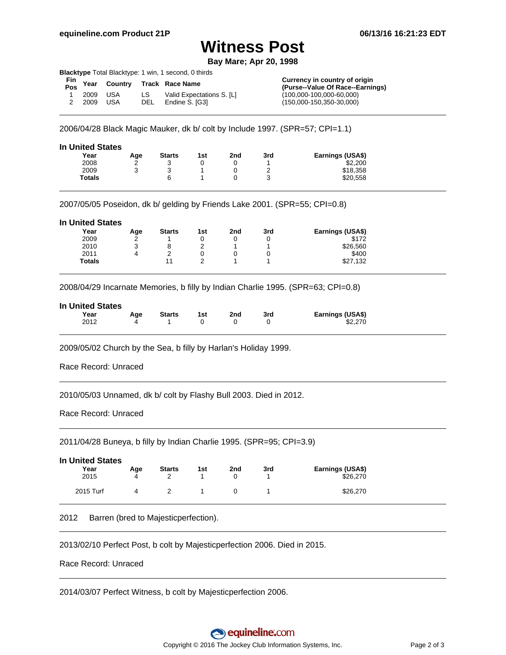### **Witness Post**

**Bay Mare; Apr 20, 1998**

**Blacktype** Total Blacktype: 1 win, 1 second, 0 thirds

| Fin <sub>Year</sub><br>Pos <sup>Year</sup> |      | Country Track Race Name   | Currency in country of origin<br>(Purse--Value Of Race--Earnings) |
|--------------------------------------------|------|---------------------------|-------------------------------------------------------------------|
| 2009 USA                                   | LS.  | Valid Expectations S. ILI | $(100,000-100,000-60,000)$                                        |
| 2009 USA                                   | DEL. | Endine S. [G3]            | $(150,000-150,350-30,000)$                                        |

2006/04/28 Black Magic Mauker, dk b/ colt by Include 1997. (SPR=57; CPI=1.1)

| <b>In United States</b> |        |               |     |     |     |                  |
|-------------------------|--------|---------------|-----|-----|-----|------------------|
| Year                    | Age    | <b>Starts</b> | 1st | 2nd | 3rd | Earnings (USA\$) |
| 2008                    | $\sim$ |               |     |     |     | \$2,200          |
| 2009                    | ຈ      |               |     |     |     | \$18,358         |
| <b>Totals</b>           |        | 6             |     |     | ບ   | \$20.558         |
|                         |        |               |     |     |     |                  |

2007/05/05 Poseidon, dk b/ gelding by Friends Lake 2001. (SPR=55; CPI=0.8)

| <b>In United States</b> |     |               |     |     |     |                  |
|-------------------------|-----|---------------|-----|-----|-----|------------------|
| Year                    | Age | <b>Starts</b> | 1st | 2nd | 3rd | Earnings (USA\$) |
| 2009                    | 2   |               | 0   |     | 0   | \$172            |
| 2010                    | 3   | 8             | っ   |     |     | \$26,560         |
| 2011                    | 4   | っ             | 0   |     | 0   | \$400            |
| <b>Totals</b>           |     | 11            | ົ   |     |     | \$27,132         |

2008/04/29 Incarnate Memories, b filly by Indian Charlie 1995. (SPR=63; CPI=0.8)

| <b>In United States</b> |     |               |     |     |     |                  |
|-------------------------|-----|---------------|-----|-----|-----|------------------|
| Year                    | Aae | <b>Starts</b> | 1st | 2nd | 3rd | Earnings (USA\$) |
| 2012                    |     |               |     |     |     | \$2,270          |
|                         |     |               |     |     |     |                  |

2009/05/02 Church by the Sea, b filly by Harlan's Holiday 1999.

Race Record: Unraced

2010/05/03 Unnamed, dk b/ colt by Flashy Bull 2003. Died in 2012.

Race Record: Unraced

2011/04/28 Buneya, b filly by Indian Charlie 1995. (SPR=95; CPI=3.9)

| <b>In United States</b> |     |               |     |     |     |                  |
|-------------------------|-----|---------------|-----|-----|-----|------------------|
| Year                    | Age | <b>Starts</b> | 1st | 2nd | 3rd | Earnings (USA\$) |
| 2015                    | 4   |               |     |     |     | \$26,270         |
| 2015 Turf               | Δ   |               |     |     |     | \$26,270         |

2012 Barren (bred to Majesticperfection).

2013/02/10 Perfect Post, b colt by Majesticperfection 2006. Died in 2015.

Race Record: Unraced

2014/03/07 Perfect Witness, b colt by Majesticperfection 2006.